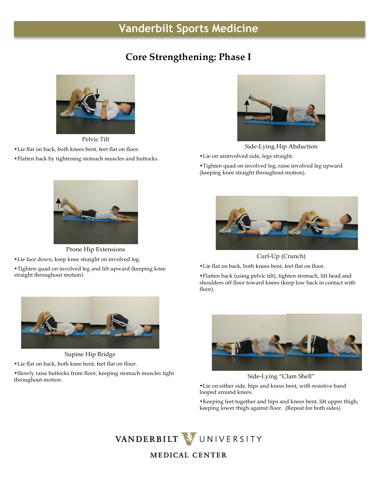## **Vanderbilt Sports Medicine**

## **Core Strengthening: Phase I**



Pelvic Tilt

•Lie flat on back, both knees bent, feet flat on floor.

•Flatten back by tightening stomach muscles and buttocks.



Side-Lying Hip Abduction

•Lie on uninvolved side, legs straight.

•Tighten quad on involved leg, raise involved leg upward (keeping knee straight throughout motion).



Prone Hip Extensions •Lie face down, keep knee straight on involved leg.

•Tighten quad on involved leg and lift upward (keeping knee straight throughout motion).



Supine Hip Bridge

•Lie flat on back, both knee bent, feet flat on floor.

•Slowly raise buttocks from floor, keeping stomach muscles tight throughout motion.



Curl-Up (Crunch)

•Lie flat on back, both knees bent, feet flat on floor.

•Flatten back (using pelvic tilt), tighten stomach, lift head and shoulders off floor toward knees (keep low back in contact with floor).



Side-Lying "Clam Shell"

•Lie on either side, hips and knees bent, with resistive band looped around knees.

•Keeping feet together and hips and knees bent, lift upper thigh, keeping lower thigh against floor. (Repeat for both sides)

VANDERBILT VUNIVERSITY **MEDICAL CENTER**